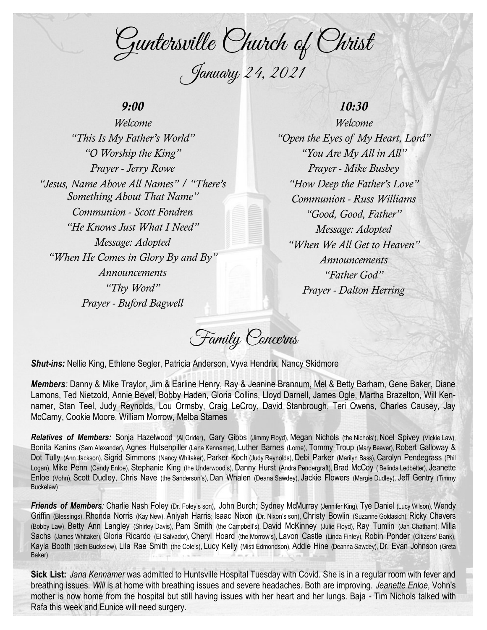Guntersville Church of Christ January 24, 2021

# *9:00*

*Welcome "This Is My Father's World" "O Worship the King" Prayer - Jerry Rowe "Jesus, Name Above All Names" / "There's Something About That Name" Communion - Scott Fondren "He Knows Just What I Need" Message: Adopted "When He Comes in Glory By and By" Announcements "Thy Word" Prayer - Buford Bagwell*

# *10:30*

*Welcome "Open the Eyes of My Heart, Lord" "You Are My All in All" Prayer - Mike Busbey "How Deep the Father's Love" Communion - Russ Williams "Good, Good, Father" Message: Adopted "When We All Get to Heaven" Announcements "Father God" Prayer - Dalton Herring*

Family Concerns

*Shut-ins:* Nellie King, Ethlene Segler, Patricia Anderson, Vyva Hendrix, Nancy Skidmore

*Members:* Danny & Mike Traylor, Jim & Earline Henry, Ray & Jeanine Brannum, Mel & Betty Barham, Gene Baker, Diane Lamons, Ted Nietzold, Annie Bevel, Bobby Haden, Gloria Collins, Lloyd Darnell, James Ogle, Martha Brazelton, Will Kennamer, Stan Teel, Judy Reynolds, Lou Ormsby, Craig LeCroy, David Stanbrough, Teri Owens, Charles Causey, Jay McCamy, Cookie Moore, William Morrow, Melba Starnes

*Relatives of Members:* Sonja Hazelwood (Al Grider), Gary Gibbs (Jimmy Floyd), Megan Nichols (the Nichols'), Noel Spivey (Vickie Law), Bonita Kanins (Sam Alexander), Agnes Hutsenpiller (Lena Kennamer), Luther Barnes (Lorne), Tommy Troup (Mary Beaver), Robert Galloway & Dot Tully (Ann Jackson), Sigrid Simmons (Nancy Whitaker), Parker Koch (Judy Reynolds), Debi Parker (Marilyn Bass), Carolyn Pendegrass (Phil Logan), Mike Penn (Candy Enloe), Stephanie King (the Underwood's), Danny Hurst (Andra Pendergraft), Brad McCoy ( Belinda Ledbetter), Jeanette Enloe (Vohn), Scott Dudley, Chris Nave (the Sanderson's), Dan Whalen (Deana Sawdey), Jackie Flowers (Margie Dudley), Jeff Gentry (Timmy Buckelew)

*Friends of Members:* Charlie Nash Foley (Dr. Foley's son), John Burch; Sydney McMurray (Jennifer King), Tye Daniel (Lucy Wilson), Wendy Griffin (Blessings), Rhonda Norris (Kay New), Aniyah Harris; Isaac Nixon (Dr. Nixon's son), Christy Bowlin (Suzanne Goldasich), Ricky Chavers (Bobby Law), Betty Ann Langley (Shirley Davis), Pam Smith (the Campbell's), David McKinney (Julie Floyd), Ray Tumlin (Jan Chatham), Milla Sachs (James Whitaker), Gloria Ricardo (El Salvador), Cheryl Hoard (the Morrow's), Lavon Castle (Linda Finley), Robin Ponder (Citizens' Bank), Kayla Booth (Beth Buckelew), Lila Rae Smith (the Cole's), Lucy Kelly (Misti Edmondson), Addie Hine (Deanna Sawdey), Dr. Evan Johnson (Greta Baker)

**Sick List:** *Jana Kennamer* was admitted to Huntsville Hospital Tuesday with Covid. She is in a regular room with fever and breathing issues. *Will* is at home with breathing issues and severe headaches. Both are improving. *Jeanette Enloe*, Vohn's mother is now home from the hospital but still having issues with her heart and her lungs. Baja - Tim Nichols talked with Rafa this week and Eunice will need surgery.